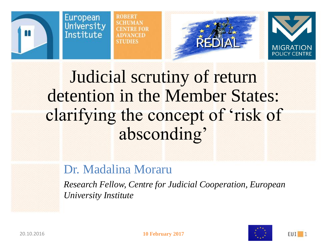

**ROBERT SCHIJMAN ANCEE** STUDIES





Judicial scrutiny of return detention in the Member States: clarifying the concept of 'risk of absconding'

## Dr. Madalina Moraru

*Research Fellow, Centre for Judicial Cooperation, European University Institute*



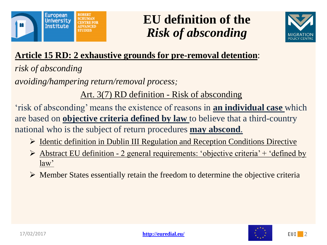

## **EU definition of the** *Risk of absconding*



### **Article 15 RD: 2 exhaustive grounds for pre-removal detention**:

*risk of absconding*

*avoiding/hampering return/removal process;* 

Art. 3(7) RD definition - Risk of absconding

'risk of absconding' means the existence of reasons in **an individual case** which are based on **objective criteria defined by law** to believe that a third-country national who is the subject of return procedures **may abscond**.

- $\triangleright$  Identic definition in Dublin III Regulation and Reception Conditions Directive
- $\triangleright$  Abstract EU definition 2 general requirements: 'objective criteria' + 'defined by law'
- $\triangleright$  Member States essentially retain the freedom to determine the objective criteria



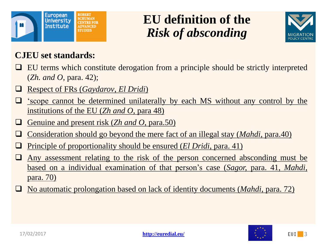

# **EU definition of the** *Risk of absconding*



#### **CJEU set standards:**

- EU terms which constitute derogation from a principle should be strictly interpreted (*Zh. and O*, para. 42);
- Respect of FRs (*Gaydarov*, *El Dridi*)
- 'scope cannot be determined unilaterally by each MS without any control by the institutions of the EU (*Zh and O*, para 48)
- Genuine and present risk (*Zh and O*, para.50)
- Consideration should go beyond the mere fact of an illegal stay (*Mahdi,* para.40)
- Principle of proportionality should be ensured (*El Dridi*, para. 41)
- Any assessment relating to the risk of the person concerned absconding must be based on a individual examination of that person's case (*Sagor,* para. 41, *Mahdi,* para. 70)
- No automatic prolongation based on lack of identity documents (*Mahdi*, para. 72)

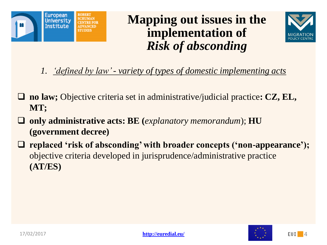



*1. 'defined by law' - variety of types of domestic implementing acts*

- **no law;** Objective criteria set in administrative/judicial practice**: CZ, EL, MT;**
- **only administrative acts: BE (***explanatory memorandum*); **HU (government decree)**
- **replaced 'risk of absconding' with broader concepts ('non-appearance');**  objective criteria developed in jurisprudence/administrative practice **(AT/ES)**



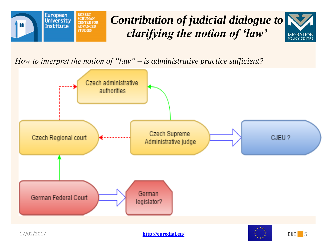

# *Contribution of judicial dialogue to clarifying the notion of 'law'*



*How to interpret the notion of "law" – is administrative practice sufficient?*

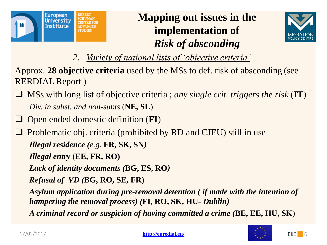



- *2. Variety of national lists of 'objective criteria'*
- Approx. **28 objective criteria** used by the MSs to def. risk of absconding (see RERDIAL Report )
- MSs with long list of objective criteria ; *any single crit. triggers the risk* (**IT**) *Div. in subst. and non-subts* (**NE, SL**)
- Open ended domestic definition (**FI**)
- $\Box$  Problematic obj. criteria (prohibited by RD and CJEU) still in use *Illegal residence (e.g.* **FR, SK, SN***)*
	- *Illegal entry* (**EE, FR, RO)**
	- *Lack of identity documents (***BG, ES, RO***)*
	- *Refusal of VD (***BG, RO, SE, FR**)
	- *Asylum application during pre-removal detention ( if made with the intention of hampering the removal process) (***FI, RO, SK, HU-** *Dublin)*
	- *A criminal record or suspicion of having committed a crime (***BE, EE, HU, SK**)

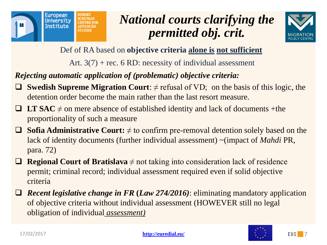

# *National courts clarifying the permitted obj. crit.*



Def of RA based on **objective criteria alone is not sufficient**

Art.  $3(7)$  + rec. 6 RD: necessity of individual assessment

*Rejecting automatic application of (problematic) objective criteria:*

- **Swedish Supreme Migration Court:**  $\neq$  refusal of VD; on the basis of this logic, the detention order become the main rather than the last resort measure.
- **LT SAC**  $\neq$  on mere absence of established identity and lack of documents +the proportionality of such a measure
- **Sofia Administrative Court:** ≠ to confirm pre-removal detention solely based on the lack of identity documents (further individual assessment) ~(impact of *Mahdi* PR, para. 72)
- **Regional Court of Bratislava**  $\neq$  not taking into consideration lack of residence permit; criminal record; individual assessment required even if solid objective criteria
- *Recent legislative change in FR* **(***Law 274/2016)*: eliminating mandatory application of objective criteria without individual assessment (HOWEVER still no legal obligation of individual *assessment)*

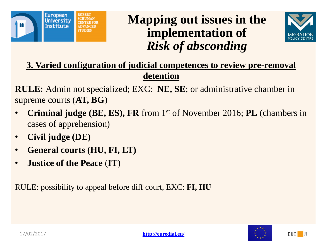



**3. Varied configuration of judicial competences to review pre-removal detention**

**RULE:** Admin not specialized; EXC: **NE, SE**; or administrative chamber in supreme courts (**AT, BG**)

- **Criminal judge (BE, ES), FR** from 1st of November 2016; **PL** (chambers in cases of apprehension)
- **Civil judge (DE)**
- **General courts (HU, FI, LT)**
- **Justice of the Peace** (**IT**)

RULE: possibility to appeal before diff court, EXC: **FI, HU**



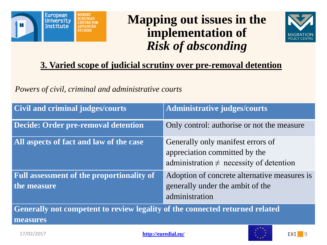



#### **3. Varied scope of judicial scrutiny over pre-removal detention**

#### *Powers of civil, criminal and administrative courts*

| <b>Civil and criminal judges/courts</b>                                                  | <b>Administrative judges/courts</b>                                                                                |
|------------------------------------------------------------------------------------------|--------------------------------------------------------------------------------------------------------------------|
| Decide: Order pre-removal detention                                                      | Only control: authorise or not the measure                                                                         |
| All aspects of fact and law of the case                                                  | Generally only manifest errors of<br>appreciation committed by the<br>administration $\neq$ necessity of detention |
| <b>Full assessment of the proportionality of</b><br>the measure                          | Adoption of concrete alternative measures is<br>generally under the ambit of the<br>administration                 |
| Generally not competent to review legality of the connected returned related<br>measures |                                                                                                                    |

17/02/2017 **<http://euredial.eu/>**



**EUI** 9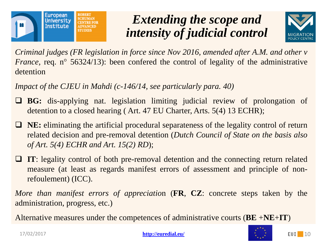

## *Extending the scope and intensity of judicial control*



*Criminal judges (FR legislation in force since Nov 2016, amended after A.M. and other v France*, req. n<sup>o</sup> 56324/13): been confered the control of legality of the administrative detention

*Impact of the CJEU in Mahdi (c-146/14, see particularly para. 40)*

- **BG:** dis-applying nat. legislation limiting judicial review of prolongation of detention to a closed hearing ( Art. 47 EU Charter, Arts. 5(4) 13 ECHR);
- **NE:** eliminating the artificial procedural separateness of the legality control of return related decision and pre-removal detention (*Dutch Council of State on the basis also of Art. 5(4) ECHR and Art. 15(2) RD*);
- **IT:** legality control of both pre-removal detention and the connecting return related measure (at least as regards manifest errors of assessment and principle of nonrefoulement) (ICC).

*More than manifest errors of appreciatio*n (**FR**, **CZ**: concrete steps taken by the administration, progress, etc.)

Alternative measures under the competences of administrative courts (**BE** +**NE**+**IT**)